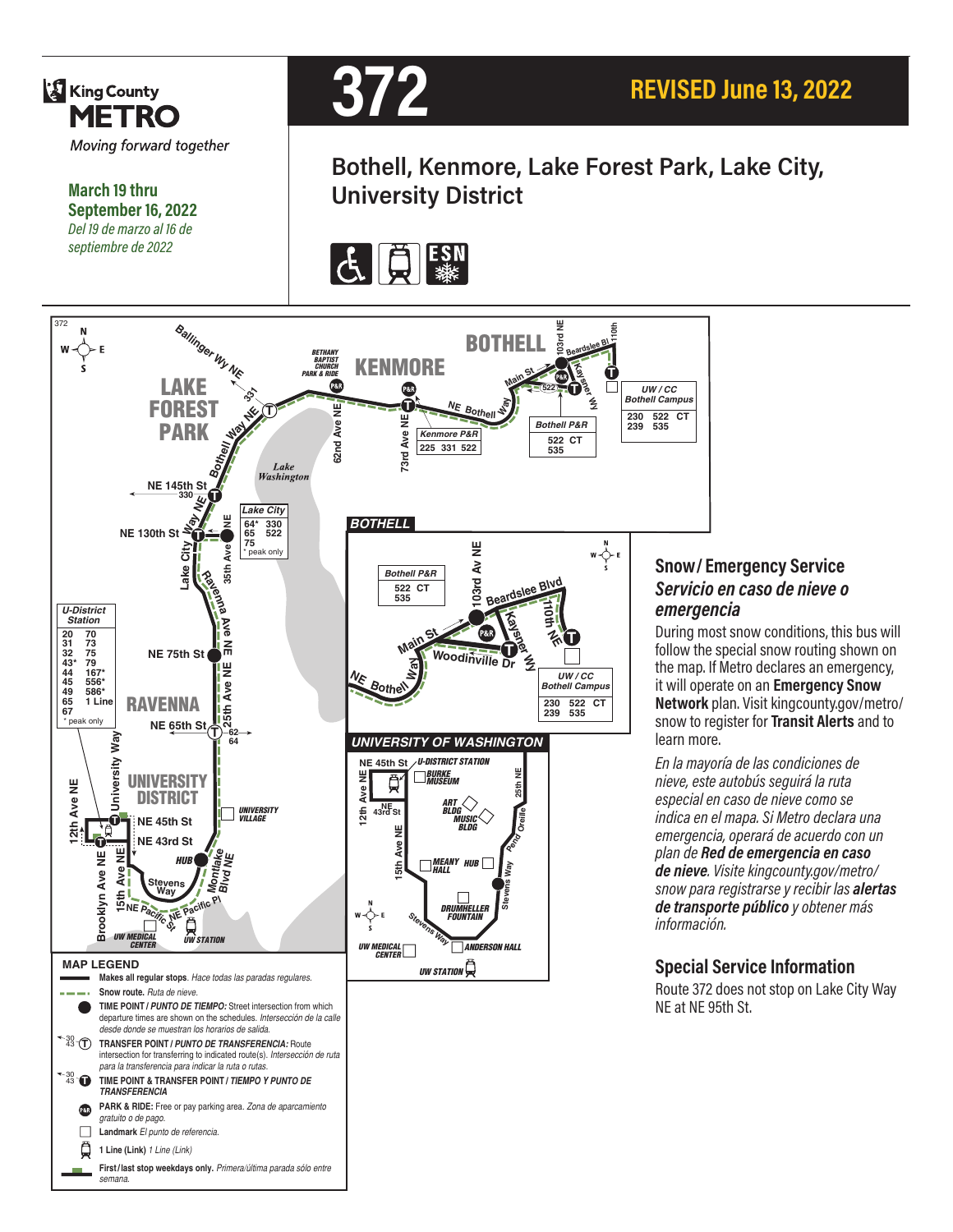

*semana.*

#### **Snow/ Emergency Service**  *Servicio en caso de nieve o emergencia*

During most snow conditions, this bus will follow the special snow routing shown on the map. If Metro declares an emergency, it will operate on an **Emergency Snow Network** plan. Visit kingcounty.gov/metro/ snow to register for **Transit Alerts** and to learn more.

*En la mayoría de las condiciones de nieve, este autobús seguirá la ruta especial en caso de nieve como se indica en el mapa. Si Metro declara una emergencia, operará de acuerdo con un plan de Red de emergencia en caso de nieve. Visite kingcounty.gov/metro/ snow para registrarse y recibir las alertas de transporte público y obtener más información.*

#### **Special Service Information**

Route 372 does not stop on Lake City Way NE at NE 95th St.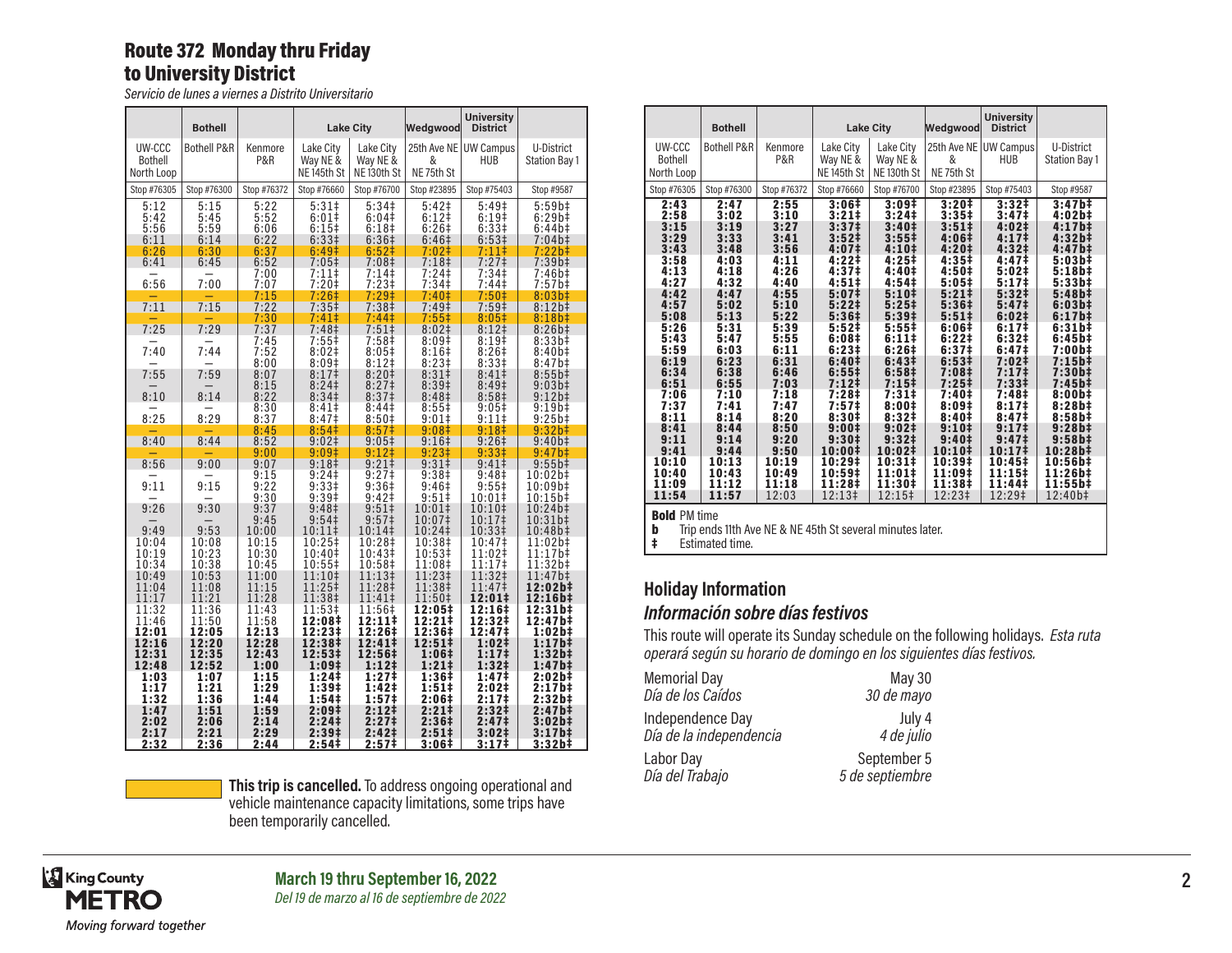#### Route 372 Monday thru Friday to University District

*Servicio de lunes a viernes a Distrito Universitario*

|                                        | <b>Bothell</b>                       |                                      |                                                                                 | <b>Lake City</b>                                                                          | Wedgwood                                                            | <b>University</b><br><b>District</b>                  |                                                |
|----------------------------------------|--------------------------------------|--------------------------------------|---------------------------------------------------------------------------------|-------------------------------------------------------------------------------------------|---------------------------------------------------------------------|-------------------------------------------------------|------------------------------------------------|
| UW-CCC<br><b>Bothell</b><br>North Loop | <b>Bothell P&amp;R</b>               | Kenmore<br>P&R                       | Lake City<br>Way NE &<br>NE <sub>145th</sub> St                                 | Lake City<br>Way NE &<br>NE <sub>130th</sub> St                                           | &<br>NE75th St                                                      | 25th Ave NE UW Campus<br>HUB                          | U-District<br>Station Bay 1                    |
| Stop #76305                            | Stop #76300                          | Stop #76372                          | Stop #76660                                                                     | Stop #76700                                                                               | Stop #23895                                                         | Stop #75403                                           | Stop #9587                                     |
| 5:12<br>5:42<br>5:56<br>6:11<br>6:26   | 5:15<br>5:45<br>5:59<br>6:14<br>6:30 | 5:22<br>5:52<br>6:06<br>6:22<br>6:37 | $5:31\ddagger$<br>$6:01$ ‡<br>$6:15+$<br>6:33 <sup>‡</sup><br>6:49 <sup>‡</sup> | 5:34 <sup>‡</sup><br>6:04 <sup>‡</sup><br>6:18 <sup>‡</sup><br>6:36 <sup>‡</sup><br>6:52‡ | 5:42 <sup>‡</sup><br>$6:12+$<br>6:26‡<br>6:46 <sup>‡</sup><br>7:02‡ | 5:49‡<br>6:19#<br>6:33‡<br>6:53 <sup>‡</sup><br>7:11‡ | 5:59b#<br>6:29b‡<br>6:44b‡<br>7:04b‡<br>7:22b‡ |
| 6:41                                   | 6:45                                 | 6:52                                 | $7:05$ ‡                                                                        | 7:08 <sup>‡</sup>                                                                         | 7:18 <sup>‡</sup>                                                   | 7:27‡                                                 | 7:39b‡                                         |
| 6:56                                   | 7:00                                 | 7:00<br>7:07<br>7:15                 | 7:11‡<br>$7:20$ ‡<br>7:26‡                                                      | 7:14‡<br>$7:23+$<br>$7:29^+$                                                              | $7:24$ ‡<br>7:34 <sup>‡</sup><br>7:40‡                              | 7:34 <sup>‡</sup><br>7:44‡<br>7:50 <sup>‡</sup>       | 7:46b‡<br>7:57b‡<br>8:03b‡                     |
| 7:11                                   | 7:15                                 | 7:22                                 | $7:35+$                                                                         | 7:38 <sup>‡</sup>                                                                         | 7:49 <sup>‡</sup>                                                   | 7:59 <sup>‡</sup>                                     | 8:12b‡                                         |
| 7:25                                   | 7:29                                 | 7:30<br>7:37                         | 7:41‡<br>7:48‡                                                                  | 7:44‡<br>$7:51\pm$                                                                        | $7:55$ ‡<br>8:02 <sup>‡</sup>                                       | 8:05‡<br>8:12 <sup>‡</sup>                            | 8:18b#<br>$8:26b\ddagger$                      |
| 7:40                                   | 7:44                                 | 7:45<br>7:52<br>8:00                 | 7:55‡<br>8:02 <sup>‡</sup><br>8:09 <sup>‡</sup>                                 | 7:58‡<br>$8:05\ddagger$<br>$8:12$ ‡                                                       | 8:09‡<br>8:16 <sup>‡</sup><br>8:23#                                 | 8:19‡<br>8:26#<br>8:33 <sup>‡</sup>                   | 8:33b‡<br>$8:40b\ddagger$<br>$8:47b\ddagger$   |
| 7:55                                   | 7:59                                 | 8:07                                 | 8:17‡                                                                           | 8:20‡                                                                                     | 8:31 <sup>‡</sup>                                                   | 8:41‡                                                 | $8:55b$ ‡                                      |
| 8:10                                   | 8:14                                 | 8:15<br>8:22                         | 8:24<br>8:34 <sup>‡</sup>                                                       | 8:27 <sup>‡</sup><br>8:37 <sup>‡</sup>                                                    | 8:39‡<br>8:48 <sup>‡</sup>                                          | 8:49‡<br>8:58 <sup>‡</sup>                            | 9:03b#<br>$9:12b\ddagger$                      |
| 8:25                                   | 8:29                                 | 8:30<br>8:37                         | 8:41<br>8:47 <sup>‡</sup>                                                       | 8:44‡<br>8:50 <sup>‡</sup>                                                                | 8:55‡<br>$9:01\pm$                                                  | 9:05‡<br>9:11                                         | $9:19b+$<br>9:25b#                             |
| 8:40                                   | 8:44                                 | 8:45<br>8:52                         | 8:54‡<br>$9:02 \ddagger$                                                        | 8:57‡<br>$9:05\ddagger$                                                                   | 9:08‡<br>$9:16+$                                                    | 9:18‡<br>9:26#                                        | 9:32b‡<br>$9:40b\ddagger$                      |
| 8:56                                   | 9:00                                 | 9:00<br>9:07                         | 9:09‡<br>9:18 <sup>‡</sup>                                                      | 9:12‡<br>9:21#                                                                            | $9:23†$<br>9:31‡                                                    | 9:33 <sup>‡</sup><br>$9:41 \;$                        | 9:47b‡<br>$9:55b\ddagger$                      |
| 9:11                                   | 9:15                                 | 9:15<br>9:22<br>9:30                 | 9:24<br>9:33‡<br>9:39‡                                                          | $9:27$ ‡<br>9:36‡<br>9:42 <sub>‡</sub>                                                    | 9:38 <sup>‡</sup><br>9:46‡<br>$9:51$ ‡                              | 9:48 <sup>‡</sup><br>9:55‡<br>10:01‡                  | 10:02b‡<br>10:09b‡<br>10:15b‡                  |
| 9:26                                   | 9:30                                 | 9:37<br>9:45                         | 9:48 <sup>‡</sup><br>9:54 <sup>‡</sup>                                          | 9:51<br>9:57 <sup>‡</sup>                                                                 | 10:01‡<br>10:07‡                                                    | $10:10^+$<br>10:17‡                                   | 10:24b‡<br>10:31b‡                             |
| 9:49                                   | 9:53                                 | 10:00                                | 10:11‡                                                                          | 10:14‡                                                                                    | 10:24‡                                                              | 10:33‡                                                | 10:48b‡                                        |
| 10:04<br>10:19<br>10:34                | 10:08<br>10:23<br>10:38              | 10:15<br>10:30<br>10:45              | 10:25‡<br>10:40‡<br>10:55‡                                                      | 10:28‡<br>10:43‡<br>10:58‡                                                                | 10:38‡<br>10:53‡<br>11:08‡                                          | 10:47‡<br>11:02‡<br>11:17‡                            | 11:02b‡<br>11:17b‡<br>11:32b‡                  |
| 10:49<br>11:04<br>11:17                | 10:53<br>11:08<br>11:21              | 11:00<br>11:15<br>11:28              | 11:10‡<br>11:25‡<br>11:38‡                                                      | 11:13‡<br>11:28‡<br>11:41‡                                                                | 11:23‡<br>11:38‡<br>11:50‡                                          | 11:32‡<br>11:47‡<br>12:01‡                            | 11:47b‡<br>12:02b‡<br>12:16b‡                  |
| 11:32<br>11:46<br>12:01                | 11:36<br>11:50<br>12:05              | 11:43<br>11:58<br>12:13              | 11:53‡<br>12:08‡<br>12:23‡                                                      | 11:56‡<br>12:11‡<br>12:26‡                                                                | 12:05‡<br>12:21‡<br>12:36‡                                          | 12:16‡<br>12:32‡<br>12:47‡                            | 12:31b‡<br>12:47b‡<br>1:02b‡                   |
| 12:16<br>12:31<br>12:48                | 12:20<br>12:35<br>12:52              | 12:28<br>12:43<br>1:00               | 12:38‡<br>12:53‡<br>1:09‡                                                       | 12:41‡<br>12:56‡<br>1:12‡                                                                 | 12:51‡<br>1:06‡<br>$1:21 \;$                                        | 1:02‡<br>$1:17^{\ddagger}$<br>$1:32+$                 | 1:17b‡<br>1:32b‡<br>1:47b‡                     |
| 1:03<br>1:17<br>1:32                   | 1:07<br>1:21<br>1:36                 | 1:15<br>1:29<br>1:44                 | 1:24‡<br>1:39 <sup>‡</sup><br>1:54 <sup>‡</sup>                                 | 1:27‡<br>1:42‡<br>1:57‡                                                                   | 1:36‡<br>1:51‡<br>2:06‡                                             | 1:47 <sup>‡</sup><br>2:02‡<br>2:17‡                   | 2:02b‡<br>2:17b‡<br>2:32b‡                     |
| 1:47<br>2:02<br>2:17<br>2:32           | 1:51<br>2:06<br>2:21<br>2:36         | 1:59<br>2:14<br>2:29<br>2:44         | 2:09‡<br>2:24‡<br>2:39‡<br>2:54‡                                                | 2:12‡<br>2:27‡<br>2:42‡<br>2:57‡                                                          | 2:21‡<br>2:36‡<br>$2:51 \;$<br>3:06‡                                | 2:32‡<br>2:47‡<br>3:02 <sup>‡</sup><br>3:17‡          | 2:47b‡<br>3:02b‡<br>$3:17b\ddagger$<br>3:32b‡  |



**This trip is cancelled.** To address ongoing operational and *DI* vehicle maintenance capacity limitations, some trips have been temporarily cancelled.

|                                                                                                                                              | <b>Bothell</b>                                                                                                                               |                                                                                                                                              |                                                                                                                                                                                                                                                                                            | <b>Lake City</b>                                                                                                                                                                                                                                         | Wedgwood                                                                                                                                                                                       | <b>University</b><br><b>District</b>                                                                                                                                                                                                                                                                 |                                                                                                                                                                                                                           |
|----------------------------------------------------------------------------------------------------------------------------------------------|----------------------------------------------------------------------------------------------------------------------------------------------|----------------------------------------------------------------------------------------------------------------------------------------------|--------------------------------------------------------------------------------------------------------------------------------------------------------------------------------------------------------------------------------------------------------------------------------------------|----------------------------------------------------------------------------------------------------------------------------------------------------------------------------------------------------------------------------------------------------------|------------------------------------------------------------------------------------------------------------------------------------------------------------------------------------------------|------------------------------------------------------------------------------------------------------------------------------------------------------------------------------------------------------------------------------------------------------------------------------------------------------|---------------------------------------------------------------------------------------------------------------------------------------------------------------------------------------------------------------------------|
| UW-CCC<br><b>Bothell</b><br>North Loop                                                                                                       | <b>Bothell P&amp;R</b>                                                                                                                       | Kenmore<br>P&R                                                                                                                               | Lake City<br>Way NE &<br>NE 145th St                                                                                                                                                                                                                                                       | Lake City<br>Way NE &<br>NE <sub>130th</sub> St                                                                                                                                                                                                          | 25th Ave NE<br>&<br>NE 75th St                                                                                                                                                                 | <b>UW Campus</b><br><b>HUB</b>                                                                                                                                                                                                                                                                       | U-District<br><b>Station Bay 1</b>                                                                                                                                                                                        |
| Stop #76305                                                                                                                                  | Stop #76300                                                                                                                                  | Stop #76372                                                                                                                                  | Stop #76660                                                                                                                                                                                                                                                                                | Stop #76700                                                                                                                                                                                                                                              | Stop #23895                                                                                                                                                                                    | Stop #75403                                                                                                                                                                                                                                                                                          | Stop #9587                                                                                                                                                                                                                |
| 2:43<br>2:58<br>3:15<br>3:29<br>3:43<br>3:58<br>4:13<br>4:27<br>4:42<br>4:57<br>5:08<br>5:26<br>5:43<br>5:59<br>6:19<br>6:34<br>6:51<br>7:06 | 2:47<br>3:02<br>3:19<br>3:33<br>3:48<br>4:03<br>4:18<br>4:32<br>4:47<br>5:02<br>5:13<br>5:31<br>5:47<br>6:03<br>6:23<br>6:38<br>6:55<br>7:10 | 2:55<br>3:10<br>3:27<br>3:41<br>3:56<br>4:11<br>4:26<br>4:40<br>4:55<br>5:10<br>5:22<br>5:39<br>5:55<br>6:11<br>6:31<br>6:46<br>7:03<br>7:18 | 3:06#<br>$3:21 \;$<br>3:37 <sup>‡</sup><br>3:52 <sup>‡</sup><br>4:07 <sup>‡</sup><br>4:221<br>4:37 <sup>‡</sup><br>4:51#<br>5:07 <sup>‡</sup><br>5:221<br>5:36 <sup>‡</sup><br>5:52 <sup>‡</sup><br>6:08#<br>6:231<br>6:40 <sup>‡</sup><br>6:551<br>7:12 <sup>‡</sup><br>7:28 <sup>‡</sup> | 3:09#<br>3:24 <sup>‡</sup><br>3:40 <sup>‡</sup><br>3:551<br>4:10#<br>4:25#<br>4:40 <sup>‡</sup><br>4:54 <sup>‡</sup><br>$5:10+$<br>$5:25+$<br>5:39 <sup>‡</sup><br>5:551<br>6:111<br>6:26#<br>6:43 <sup>‡</sup><br>6:58 <sup>‡</sup><br>$7:15+$<br>7:31# | $3:20+$<br>$3:35+$<br>3:51 <sup>‡</sup><br>4:06#<br>4:20‡<br>$4:35+$<br>4:50‡<br>5:05#<br>5:211<br>5:36 <sup>‡</sup><br>5:511<br>6:06‡<br>6:22‡<br>6:37#<br>6:53#<br>7:08‡<br>$7:25+$<br>7:40‡ | 3:32 <sup>‡</sup><br>3:47 <sup>‡</sup><br>4:02 <sup>‡</sup><br>4:171<br>4:32 <sup>‡</sup><br>4:47‡<br>5:02#<br>$5:17$ <sup>‡</sup><br>5:32 <sup>‡</sup><br>5:47 <sup>‡</sup><br>6:02#<br>6:17 <sup>‡</sup><br>6:32#<br>6:47 <sup>‡</sup><br>7:02 <sup>‡</sup><br>7:17 <sup>‡</sup><br>7:33#<br>7:48‡ | 3:47h <sup>‡</sup><br>4:02b#<br>$4:17b+$<br>4:32b#<br>4:47b#<br>5:03b#<br>5:18b#<br>5:33b#<br>5:48b#<br>6:03b#<br>$6:17b\ddagger$<br>6:31b#<br>6:45b#<br>7:00b‡<br>$7:15b\ddagger$<br>7:30b‡<br>7:45b‡<br>$8:00b\ddagger$ |
| 7:37<br>8:11<br>8:41<br>9:11<br>9:41                                                                                                         | 7:41<br>8:14<br>8:44<br>9:14<br>9:44                                                                                                         | 7:47<br>8:20<br>8:50<br>9:20<br>9:50                                                                                                         | 7:57 <sup>‡</sup><br>8:30‡<br>9:001<br>9:30 <sup>‡</sup>                                                                                                                                                                                                                                   | 8:001<br>8:32#<br>9:02 <sup>‡</sup><br>9:32 <sup>‡</sup>                                                                                                                                                                                                 | 8:09‡<br>8:40 <sup>‡</sup><br>9:10 <sup>‡</sup><br>9:40 <sup>‡</sup>                                                                                                                           | 8:17 <sup>‡</sup><br>8:47 <sup>‡</sup><br>9:17 <sup>‡</sup><br>9:47 <sup>‡</sup>                                                                                                                                                                                                                     | 8:28b#<br>8:58b#<br>$9:28b\ddagger$<br>9:58b‡                                                                                                                                                                             |
| 10:10<br>10:40<br>11:09<br>11:54<br><b>Bold PM time</b>                                                                                      | 10:13<br>10:43<br>11:12<br>11:57                                                                                                             | 10:19<br>10:49<br>11:18<br>12:03                                                                                                             | 10:00‡<br>10:29‡<br>10:59‡<br>11:28‡<br>12:13‡                                                                                                                                                                                                                                             | 10:02‡<br>10:31‡<br>11:01‡<br>11:30‡<br>12:15‡                                                                                                                                                                                                           | 10:10 <sup>‡</sup><br>10:39‡<br>11:09‡<br>11:38‡<br>12:23‡                                                                                                                                     | 10:17‡<br>10:45‡<br>11:15‡<br>11:44‡<br>12:29‡                                                                                                                                                                                                                                                       | 10:28b‡<br>10:56b‡<br>11:26b‡<br>11:55b‡<br>$12:40b\ddagger$                                                                                                                                                              |

**b** Trip ends 11th Ave NE & NE 45th St several minutes later.

**b** Trip ends 11th Av<br>**‡** Estimated time.

### **Holiday Information** *Información sobre días festivos*

This route will operate its Sunday schedule on the following holidays. *Esta ruta operará según su horario de domingo en los siguientes días festivos.*

| <b>Memorial Day</b>     | May 30          |
|-------------------------|-----------------|
| Día de los Caídos       | 30 de mayo      |
| Independence Day        | July 4          |
| Día de la independencia | 4 de julio      |
| Labor Day               | September 5     |
| Día del Trabajo         | 5 de septiembre |

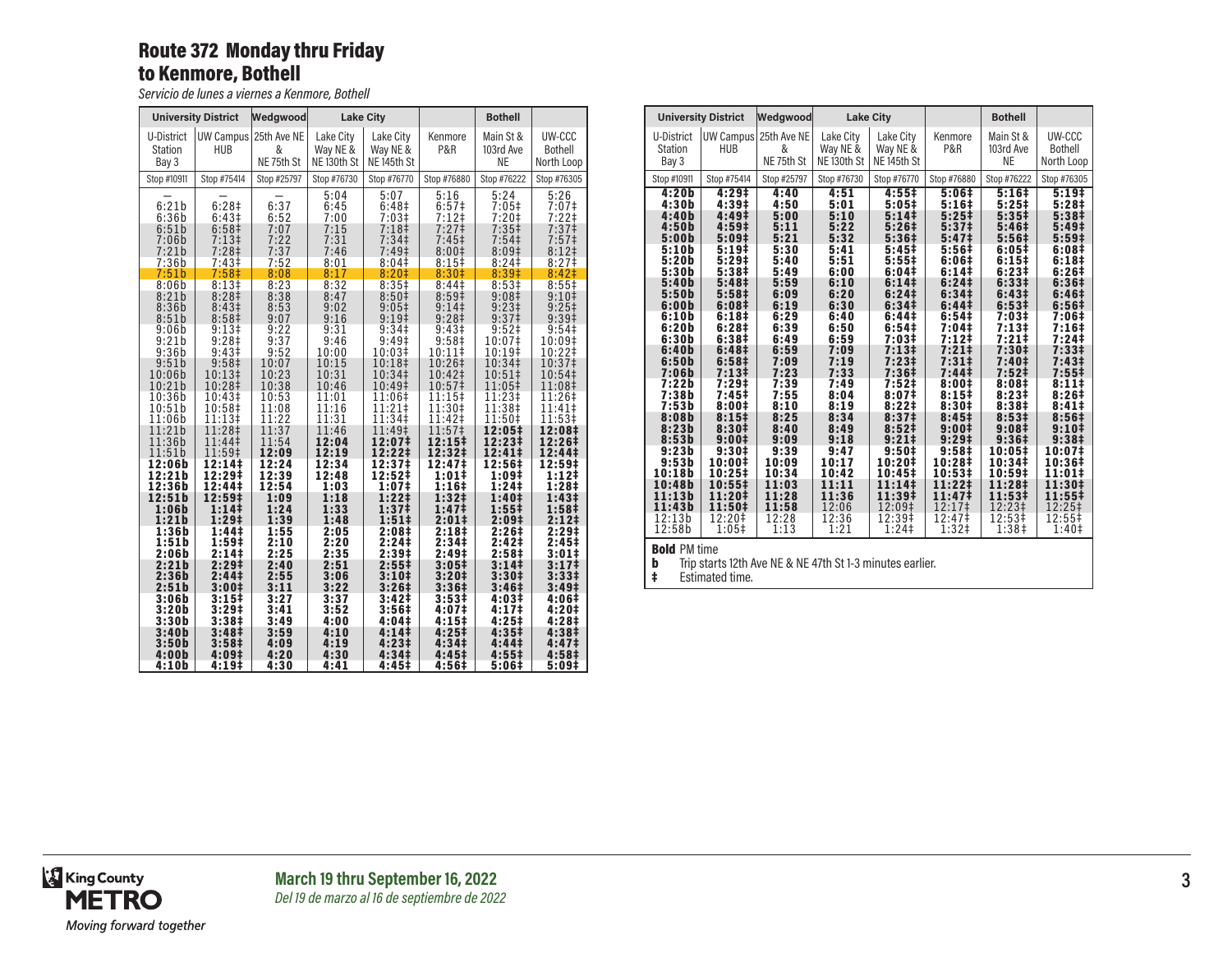## Route 372 Monday thru Friday to Kenmore, Bothell

*Servicio de lunes a viernes a Kenmore, Bothell*

| <b>University District</b>                         |                                                                                                         | Wedgwood                                     |                                                      | <b>Lake City</b>                                                                                             |                                                                                                     | <b>Bothell</b>                                                                          |                                                                                                               |
|----------------------------------------------------|---------------------------------------------------------------------------------------------------------|----------------------------------------------|------------------------------------------------------|--------------------------------------------------------------------------------------------------------------|-----------------------------------------------------------------------------------------------------|-----------------------------------------------------------------------------------------|---------------------------------------------------------------------------------------------------------------|
| U-District<br><b>Station</b><br>Bay 3              | HUB                                                                                                     | UW Campus 25th Ave NE<br>&<br>NE 75th St     | Lake City<br>Way NE &<br>NE <sub>130th</sub> St      | Lake City<br>Way NE &<br>NE <sub>145th</sub> St                                                              | Kenmore<br>P&R                                                                                      | Main St &<br>103rd Ave<br><b>NE</b>                                                     | UW-CCC<br><b>Bothell</b><br>North Loop                                                                        |
| Stop #10911                                        | Stop #75414                                                                                             | Stop #25797                                  | Stop #76730                                          | Stop #76770                                                                                                  | Stop #76880                                                                                         | Stop #76222                                                                             | Stop #76305                                                                                                   |
| 6:21b<br>6:36b<br>6:51b<br>7:06b<br>7:21b<br>7:36b | 6:28 <sup>‡</sup><br>6:43 <sup>‡</sup><br>6:58 <sup>‡</sup><br>$7:13+$<br>$7:28$ ‡<br>7:43 <sup>‡</sup> | 6:37<br>6:52<br>7:07<br>7:22<br>7:37<br>7:52 | 5:04<br>6:45<br>7:00<br>7:15<br>7:31<br>7:46<br>8:01 | 5:07<br>6:48 <sup>‡</sup><br>$7:03+$<br>7:18 <sup>‡</sup><br>7:34 <sup>‡</sup><br>$7:49^{\ddagger}$<br>8:04# | $5:16$<br>6:57‡<br>$7:12$ ‡<br>7:27 <sup>‡</sup><br>7:45 <sup>‡</sup><br>8:00 <sup>‡</sup><br>8:15‡ | 5:24<br>7:05 <sup>‡</sup><br>$7:20$ ‡<br>$7:35+$<br>7:54 <sup>‡</sup><br>8:09#<br>8:24‡ | 5:26<br>7:07 <sup>‡</sup><br>$7:22$ ‡<br>7:37 <sup>‡</sup><br>7:57 <sup>‡</sup><br>8:12 <sup>‡</sup><br>8:27‡ |
| 7:51b                                              | 7:58 <sup>‡</sup>                                                                                       | 8:08                                         | 8:17                                                 | 8:20 <sup>‡</sup>                                                                                            | 8:30 <sup>‡</sup>                                                                                   | 8:39#                                                                                   | 8:42 <sup>‡</sup>                                                                                             |
| 8:06b                                              | 8:13#                                                                                                   | 8:23                                         | 8:32                                                 | 8:35#                                                                                                        | 8:44 <sup>‡</sup>                                                                                   | 8:53#                                                                                   | 8:55‡                                                                                                         |
| 8:21b                                              | 8:28 <sup>‡</sup>                                                                                       | 8:38                                         | 8:47                                                 | 8:50 <sup>‡</sup>                                                                                            | 8:59 <sup>‡</sup>                                                                                   | 9:08‡                                                                                   | 9:10‡                                                                                                         |
| 8:36b                                              | 8:43 <sup>‡</sup>                                                                                       | 8:53                                         | 9:02                                                 | $9:05\ddagger$                                                                                               | 9:14                                                                                                | $9:23 \ddagger$                                                                         | $9:25+$                                                                                                       |
| 8:51b                                              | 8:58 <sup>‡</sup>                                                                                       | 9:07                                         | 9:16                                                 | 9:19 <sup>‡</sup>                                                                                            | 9:28 <sup>‡</sup>                                                                                   | 9:37 <sup>‡</sup>                                                                       | 9:39 <sup>‡</sup>                                                                                             |
| 9:06b                                              | $9:13+$                                                                                                 | 9:22                                         | 9:31                                                 | 9:34 <sup>‡</sup>                                                                                            | 9:43 <sup>‡</sup>                                                                                   | $9:52$ ‡                                                                                | 9:54‡                                                                                                         |
| 9:21b                                              | 9:28 <sup>‡</sup>                                                                                       | 9:37                                         | 9:46                                                 | $9:49^+$                                                                                                     | 9:58 <sup>‡</sup>                                                                                   | 10:07‡                                                                                  | 10:09‡                                                                                                        |
| 9:36b                                              | 9:43 <sup>‡</sup>                                                                                       | 9:52                                         | 10:00                                                | 10:03‡                                                                                                       | 10:11                                                                                               | 10:19‡                                                                                  | 10:22‡                                                                                                        |
| 9:51b                                              | 9:58 <sup>‡</sup>                                                                                       | 10:07                                        | 10:15                                                | 10:18‡                                                                                                       | 10:26‡                                                                                              | 10:34‡                                                                                  | 10:37‡                                                                                                        |
| 10:06b                                             | 10:13‡                                                                                                  | 10:23                                        | 10:31                                                | 10:34‡                                                                                                       | $10:42\dagger$                                                                                      | $10:51\pm$                                                                              | $10:54\ddagger$                                                                                               |
| 10:21b                                             | 10:28‡                                                                                                  | 10:38                                        | 10:46                                                | 10:49‡                                                                                                       | 10:57‡                                                                                              | 11:05‡                                                                                  | 11:08‡                                                                                                        |
| 10:36b                                             | 10:43‡                                                                                                  | 10:53                                        | 11:01                                                | 11:06‡                                                                                                       | 11:15‡                                                                                              | 11:23‡                                                                                  | 11:26‡                                                                                                        |
| 10:51b                                             | 10:58‡                                                                                                  | 11:08                                        | 11:16                                                | 11:21‡                                                                                                       | 11:30‡                                                                                              | 11:38‡                                                                                  | 11:41‡                                                                                                        |
| 11:06b                                             | 11:13‡                                                                                                  | 11:22                                        | 11:31                                                | 11:34‡                                                                                                       | 11:42‡                                                                                              | 11:50‡                                                                                  | 11:53‡                                                                                                        |
| 11:21b                                             | 11:28‡                                                                                                  | 11:37                                        | 11:46                                                | 11:49‡                                                                                                       | 11:57‡                                                                                              | 12:05‡                                                                                  | 12:08‡                                                                                                        |
| 11:36b                                             | 11:44‡                                                                                                  | 11:54                                        | 12:04                                                | 12:07‡                                                                                                       | $12:15+$                                                                                            | 12:23‡                                                                                  | 12:26‡                                                                                                        |
| 11:51b                                             | 11:59‡                                                                                                  | 12:09                                        | 12:19                                                | 12:22‡                                                                                                       | 12:32‡                                                                                              | 12:41‡                                                                                  | 12:44‡                                                                                                        |
| 12:06b                                             | 12:14‡                                                                                                  | 12:24                                        | 12:34                                                | 12:37‡                                                                                                       | 12:47‡                                                                                              | 12:56‡                                                                                  | 12:59‡                                                                                                        |
| 12:21b                                             | 12:29‡                                                                                                  | 12:39                                        | 12:48                                                | 12:52‡                                                                                                       | 1:011                                                                                               | 1:09‡                                                                                   | 1:12‡                                                                                                         |
| 12:36b                                             | 12:44‡                                                                                                  | 12:54                                        | 1:03                                                 | 1:07‡                                                                                                        | 1:16 <sup>‡</sup>                                                                                   | 1:24‡                                                                                   | 1:28‡                                                                                                         |
| 12:51b                                             | 12:59‡                                                                                                  | 1:09                                         | 1:18                                                 | 1:22‡                                                                                                        | 1:32 <sup>†</sup>                                                                                   | 1:40‡                                                                                   | $1:43+$                                                                                                       |
| 1:06b                                              | 1:141                                                                                                   | 1:24                                         | 1:33                                                 | 1:37‡                                                                                                        | 1:47 <sup>‡</sup>                                                                                   | $1:55+$                                                                                 | 1:58‡                                                                                                         |
| 1:21b                                              | 1:29‡                                                                                                   | 1:39                                         | 1:48                                                 | $1:51*$                                                                                                      | $2:01\ddagger$                                                                                      | 2:09 <sup>‡</sup>                                                                       | $2:12 \;$                                                                                                     |
| 1:36b                                              | 1:44‡                                                                                                   | 1:55                                         | 2:05                                                 | 2:08‡                                                                                                        | 2:18 <sup>‡</sup>                                                                                   | 2:26‡                                                                                   | 2:29 <sup>‡</sup>                                                                                             |
| 1:51b                                              | 1:59‡                                                                                                   | 2:10                                         | 2:20                                                 | 2:24‡                                                                                                        | 2:34‡                                                                                               | 2:42‡                                                                                   | 2:45‡                                                                                                         |
| 2:06b                                              | 2:14‡                                                                                                   | 2:25                                         | 2:35                                                 | 2:39‡                                                                                                        | 2:49‡                                                                                               | 2:58‡                                                                                   | 3:01‡                                                                                                         |
| 2:21b                                              | 2:29‡                                                                                                   | 2:40                                         | 2:51                                                 | 2:55 <sup>‡</sup>                                                                                            | 3:05‡                                                                                               | 3:14 <sup>‡</sup>                                                                       | 3:17‡                                                                                                         |
| 2:36b                                              | 2:44 <sup>‡</sup>                                                                                       | 2:55                                         | 3:06                                                 | 3:10‡                                                                                                        | 3:20‡                                                                                               | 3:30‡                                                                                   | 3:33‡                                                                                                         |
| 2:51b                                              | 3:001                                                                                                   | 3:11                                         | 3:22                                                 | 3:26 <sup>‡</sup>                                                                                            | 3:36 <sup>‡</sup>                                                                                   | 3:46 <sup>‡</sup>                                                                       | 3:49 <sup>‡</sup>                                                                                             |
| 3:06b                                              | $3:15+$                                                                                                 | 3:27                                         | 3:37                                                 | 3:42 <sup>‡</sup>                                                                                            | 3:53#                                                                                               | 4:03‡                                                                                   | 4:06‡                                                                                                         |
| 3:20b                                              | 3:29 <sup>‡</sup>                                                                                       | 3:41                                         | 3:52                                                 | 3:56 <sup>‡</sup>                                                                                            | 4:07‡                                                                                               | 4:17 <sup>‡</sup>                                                                       | 4:20‡                                                                                                         |
| 3:30b                                              | 3:38‡                                                                                                   | 3:49                                         | 4:00                                                 | 4:04‡                                                                                                        | 4:15‡                                                                                               | 4:25‡                                                                                   | 4:28‡                                                                                                         |
| 3:40b                                              | 3:48‡                                                                                                   | 3:59                                         | 4:10                                                 | 4:14‡                                                                                                        | 4:25‡                                                                                               | 4:35 <sup>‡</sup>                                                                       | 4:38‡                                                                                                         |
| 3:50b                                              | 3:58 <sup>‡</sup>                                                                                       | 4:09                                         | 4:19                                                 | 4:23#                                                                                                        | 4:34‡                                                                                               | 4:441                                                                                   | 4:47‡                                                                                                         |
| 4:00b                                              | 4:09‡                                                                                                   | 4:20                                         | 4:30                                                 | 4:34‡                                                                                                        | 4:45‡                                                                                               | $4:55+$                                                                                 | 4:58‡                                                                                                         |
| 4:10b                                              | 4:19‡                                                                                                   | 4:30                                         | 4:41                                                 | 4:45‡                                                                                                        | 4:56‡                                                                                               | 5:06‡                                                                                   | 5:09‡                                                                                                         |

|                                                                                                                                                                                                                                                   | <b>University District</b>                                                                                                                                                                                                                                                                                                                                                                                                                             | Wedgwood                                                                                                                                                                                                                |                                                                                                                                                                                                                         | <b>Lake City</b>                                                                                                                                                                                                                                                                                                                                                     |                                                                                                                                                                                                                                                                                                                                                                                                          | <b>Bothell</b>                                                                                                                                                                                                                                                                                                                                                                       |                                                                                                                                                                                                                                                                                                                                                                          |
|---------------------------------------------------------------------------------------------------------------------------------------------------------------------------------------------------------------------------------------------------|--------------------------------------------------------------------------------------------------------------------------------------------------------------------------------------------------------------------------------------------------------------------------------------------------------------------------------------------------------------------------------------------------------------------------------------------------------|-------------------------------------------------------------------------------------------------------------------------------------------------------------------------------------------------------------------------|-------------------------------------------------------------------------------------------------------------------------------------------------------------------------------------------------------------------------|----------------------------------------------------------------------------------------------------------------------------------------------------------------------------------------------------------------------------------------------------------------------------------------------------------------------------------------------------------------------|----------------------------------------------------------------------------------------------------------------------------------------------------------------------------------------------------------------------------------------------------------------------------------------------------------------------------------------------------------------------------------------------------------|--------------------------------------------------------------------------------------------------------------------------------------------------------------------------------------------------------------------------------------------------------------------------------------------------------------------------------------------------------------------------------------|--------------------------------------------------------------------------------------------------------------------------------------------------------------------------------------------------------------------------------------------------------------------------------------------------------------------------------------------------------------------------|
| U-District<br><b>Station</b><br>Bay 3                                                                                                                                                                                                             | <b>HUB</b>                                                                                                                                                                                                                                                                                                                                                                                                                                             | UW Campus 25th Ave NE<br>&<br>NE 75th St                                                                                                                                                                                | Lake City<br>Way NE &<br>NE <sub>130th</sub> St                                                                                                                                                                         | Lake City<br>Way NE &<br>NE <sub>145th</sub> St                                                                                                                                                                                                                                                                                                                      | Kenmore<br>P&R                                                                                                                                                                                                                                                                                                                                                                                           | Main St &<br>103rd Ave<br><b>NE</b>                                                                                                                                                                                                                                                                                                                                                  | UW-CCC<br><b>Bothell</b><br>North Loop                                                                                                                                                                                                                                                                                                                                   |
| Stop #10911                                                                                                                                                                                                                                       | Stop #75414                                                                                                                                                                                                                                                                                                                                                                                                                                            | Stop #25797                                                                                                                                                                                                             | Stop #76730                                                                                                                                                                                                             | Stop #76770                                                                                                                                                                                                                                                                                                                                                          | Stop #76880                                                                                                                                                                                                                                                                                                                                                                                              | Stop #76222                                                                                                                                                                                                                                                                                                                                                                          | Stop #76305                                                                                                                                                                                                                                                                                                                                                              |
| 4:20b<br>4:30b<br>4:40b<br>4:50b<br>5:00b<br>5:10b<br>5:20b<br>5:30b<br>5:40b<br>5:50b<br>6:00b<br>6:10b<br>6:20b<br>6:30b<br>6:40b<br>6:50b<br>7:06b<br>7:22b<br>7:38b<br>7:53b<br>8:08b<br>8:23b<br>8:53b<br>9:23b<br>9:53b<br>10:18b<br>10:48b | 4:29 <sup>‡</sup><br>4:39 <sup>‡</sup><br>4:49 <sup>‡</sup><br>4:59 <sup>‡</sup><br>5:09#<br>$5:19+$<br>5:29 <sup>‡</sup><br>5:38 <sup>‡</sup><br>5:48 <sup>‡</sup><br>5:58 <sup>‡</sup><br>6:08 <sup>‡</sup><br>6:18 <sup>‡</sup><br>6:28 <sup>‡</sup><br>6:38 <sup>‡</sup><br>6:48 <sup>‡</sup><br>6:58 <sup>‡</sup><br>7:13 <sup>‡</sup><br>$7:29+$<br>7:45‡<br>8:001<br>8:15#<br>8:30#<br>9:001<br>9:30 <sup>‡</sup><br>10:00‡<br>10:25‡<br>10:55‡ | 4:40<br>4:50<br>5:00<br>5:11<br>5:21<br>5:30<br>5:40<br>5:49<br>5:59<br>6:09<br>6:19<br>6:29<br>6:39<br>6:49<br>6:59<br>7:09<br>7:23<br>7:39<br>7:55<br>8:10<br>8:25<br>8:40<br>9:09<br>9:39<br>10:09<br>10:34<br>11:03 | 4:51<br>5:01<br>5:10<br>5:22<br>5:32<br>5:41<br>5:51<br>6:00<br>6:10<br>6:20<br>6:30<br>6:40<br>6:50<br>6:59<br>7:09<br>7:19<br>7:33<br>7:49<br>8:04<br>8:19<br>8:34<br>8:49<br>9:18<br>9:47<br>10:17<br>10:42<br>11:11 | 4:55#<br>5:05#<br>5:141<br>5:26 <sup>‡</sup><br>5:36 <sup>‡</sup><br>5:45#<br>5:55#<br>6:04‡<br>6:141<br>6:24 <sup>‡</sup><br>6:34 <sup>‡</sup><br>6:44‡<br>6:54 <sup>‡</sup><br>7:03‡<br>7:13#<br>$7:23+$<br>7:36 <sup>‡</sup><br>7:52#<br>8:07‡<br>8:221<br>8:37 <sup>‡</sup><br>8:52 <sup>‡</sup><br>$9:21 \;$<br>9:50 <sup>‡</sup><br>10:20‡<br>10:45‡<br>11:14‡ | 5:06#<br>5:16 <sup>‡</sup><br>$5:25+$<br>5:37 <sup>‡</sup><br>5:47 <sup>‡</sup><br>5:56‡<br>6:06#<br>6:141<br>6:24 <sup>‡</sup><br>6:34 <sup>‡</sup><br>6:44 <sup>‡</sup><br>6:54 <sup>‡</sup><br>7:04‡<br>$7:12$ <sup>‡</sup><br>$7:21$ <sup>‡</sup><br>7:31#<br>7:44‡<br>8:001<br>8:15#<br>8:30#<br>8:45 <sup>‡</sup><br>9:00 <sup>‡</sup><br>9:29 <sup>‡</sup><br>9:58‡<br>10:28‡<br>10:53‡<br>11:22‡ | $5:16+$<br>$5:25+$<br>5:35 <sup>‡</sup><br>5:46 <sup>‡</sup><br>5:56 <sup>‡</sup><br>6:05#<br>6:15#<br>6:23#<br>6:33 <sup>‡</sup><br>6:43 <sup>‡</sup><br>6:53 <sup>‡</sup><br>7:03‡<br>7:13#<br>$7:21$ ‡<br>7:30#<br>7:40‡<br>7:52 <sup>‡</sup><br>8:08#<br>8:23#<br>8:38 <sup>‡</sup><br>8:53#<br>9:08 <sup>‡</sup><br>9:36 <sup>‡</sup><br>$10:05*$<br>10:34‡<br>10:59‡<br>11:28‡ | 5:19‡<br>5:28‡<br>5:38 <sup>‡</sup><br>5:49 <sup>‡</sup><br>5:59 <sup>‡</sup><br>6:08‡<br>6:18 <sup>‡</sup><br>6:26‡<br>6:36‡<br>6:46‡<br>6:56 <sup>‡</sup><br>7:06‡<br>7:16 <sup>‡</sup><br>7:24‡<br>7:33#<br>7:43 <sup>‡</sup><br>$7:55\ddagger$<br>8:11#<br>8:26#<br>8:41#<br>8:56#<br>9:10 <sup>‡</sup><br>9:38 <sup>‡</sup><br>10:07‡<br>10:36‡<br>11:01‡<br>11:30‡ |
| 11:13b<br>11:43b<br>12:13b<br>12:58b<br><b>Bold PM time</b>                                                                                                                                                                                       | 11:20‡<br>11:50‡<br>12:20‡<br>$1:05^+$                                                                                                                                                                                                                                                                                                                                                                                                                 | 11:28<br>11:58<br>12:28<br>1:13                                                                                                                                                                                         | 11:36<br>12:06<br>12:36<br>1:21                                                                                                                                                                                         | 11:39‡<br>12:09‡<br>12:39‡<br>1:24‡                                                                                                                                                                                                                                                                                                                                  | 11:47‡<br>12:17‡<br>12:47‡<br>1:32 <sup>‡</sup>                                                                                                                                                                                                                                                                                                                                                          | 11:53‡<br>12:23‡<br>12:53‡<br>1:38‡                                                                                                                                                                                                                                                                                                                                                  | 11:55‡<br>12:25‡<br>12:55‡<br>1:40 <sup>‡</sup>                                                                                                                                                                                                                                                                                                                          |

‡ Estimated time.

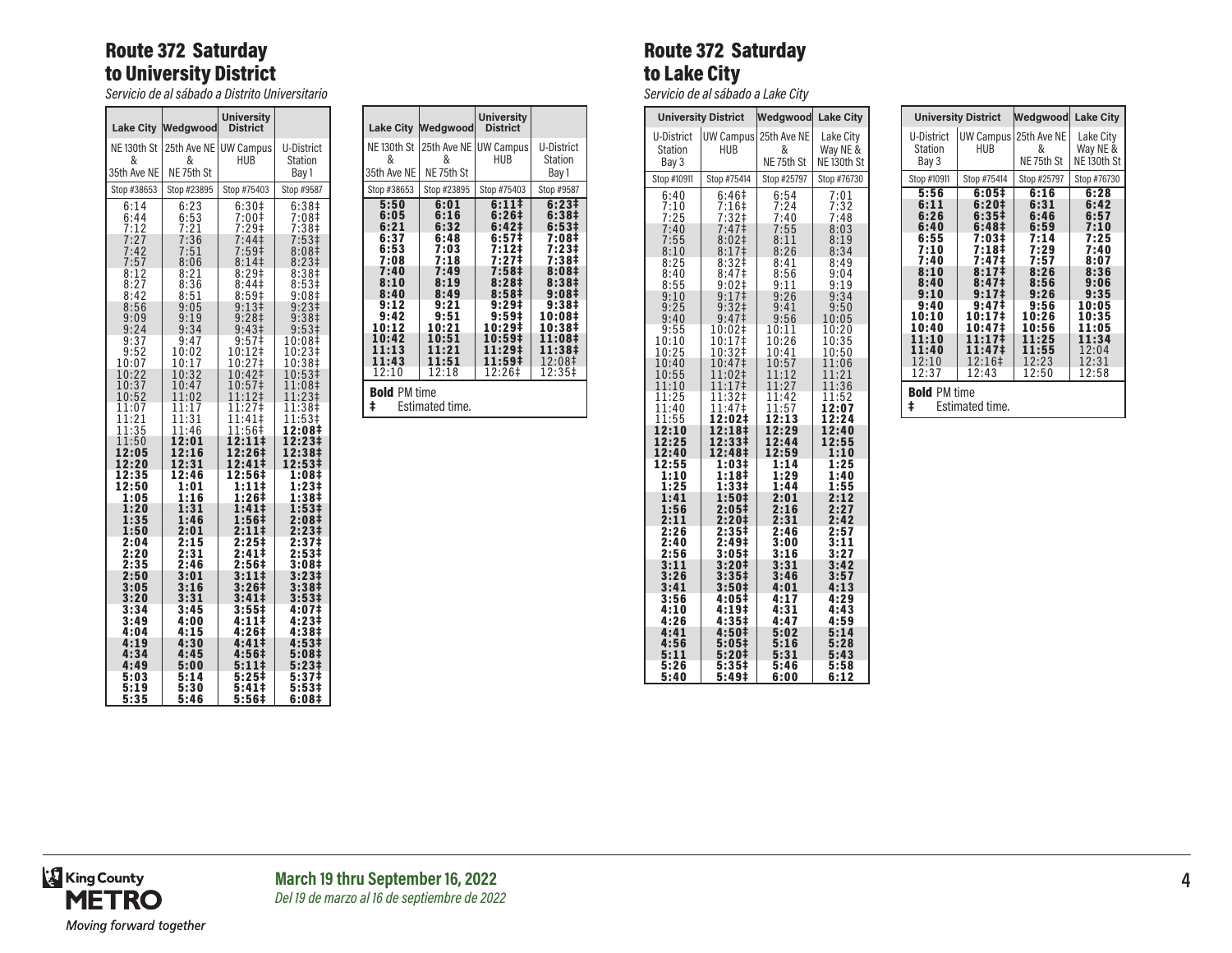## Route 372 Saturday to University District

*Servicio de al sábado a Distrito Universitario*

|                                            | Lake City Wedgwood             | <b>University</b><br><b>District</b> |                                              |
|--------------------------------------------|--------------------------------|--------------------------------------|----------------------------------------------|
| NE <sub>130th</sub> St<br>&<br>35th Ave NE | 25th Ave NE<br>&<br>NE 75th St | <b>UW Campus</b><br>HUB              | <b>U-District</b><br><b>Station</b><br>Bay 1 |
| Stop #38653                                | Stop #23895                    | Stop #75403                          | Stop #9587                                   |
| 6:14                                       | 6:23                           | 6:30 <sup>‡</sup>                    | 6:38 <sup>‡</sup>                            |
| 6:44                                       | 6:53                           | 7:00‡                                | 7:08#                                        |
| 7:12                                       |                                | $7:29+$                              | 7:38 <sup>‡</sup>                            |
| 7:27                                       | $7:21$<br>$7:36$               | 7:44                                 | 7:53 <sup>‡</sup>                            |
| 7:42                                       | 7:51                           | 7:59 <sup>‡</sup>                    | 8:08 <sup>‡</sup>                            |
| 7:57                                       | 8:06                           | 8:141                                | 8:23 <sup>‡</sup>                            |
| 8:12                                       | 8:21                           | 8:29#                                | 8:38#                                        |
| 8:27                                       | 8:36                           | 8:44‡                                | 8:53‡                                        |
| 8:42                                       | 8:51                           | 8:59 <sup>‡</sup>                    | 9:08 <sup>‡</sup>                            |
| 8:56                                       | 9:05                           | 9:13 <sup>‡</sup>                    | $9:23+$                                      |
| 9:09                                       | 9:19                           | 9:28 <sup>‡</sup>                    | 9:38 <sup>‡</sup>                            |
| 9:24                                       | 9:34                           | 9:43 <sup>‡</sup>                    | 9:53‡                                        |
| 9:37                                       | 9:47                           | 9:57 <sup>‡</sup>                    | 10:08‡                                       |
| 9:52                                       | 10:02                          | 10:12‡                               | $10:\!23*$                                   |
| 10:07                                      | 10:17                          | 10:27‡                               | 10:38‡                                       |
| 10:22                                      | 10:32                          | 10:42‡                               | 10:53‡                                       |
| 10:37                                      | 10:47                          | 10:57‡                               | 11:08‡                                       |
| 10:52                                      | 11:02                          | 11:12‡                               | 11:23‡                                       |
| 1:07<br>1                                  | 11:17                          | 1:27 <sup>‡</sup><br>1               | 11:38‡                                       |
| 1:21<br>1<br>11:35                         | 11:31<br>11:46                 | 1:41<br>1<br>11:56‡                  | 11:53‡<br>12:08‡                             |
| 1:50<br>1<br>12:05                         | 12:01<br>12:16                 | $2:11 \dagger$<br>1<br>12:26‡        | 12:23‡<br>12:38‡                             |
| 12:20                                      | 12:31                          | 12:41‡                               | 12:53‡                                       |
| 12:35                                      | 12:46                          | 12:56‡                               | 1:08‡                                        |
| 12:50                                      | 1:01                           | 1:11‡                                | $1:23+$                                      |
| 1:05                                       | 1:16                           | 1:26‡                                | 1:38‡                                        |
| 1:20                                       | 1:31                           | 1:41‡                                | 1:53‡                                        |
| 1:35                                       | 1:46                           | 1:56‡                                | 2:08‡                                        |
| 1:50                                       | 2:01                           | 2:11‡                                | $2:23+$                                      |
| 2:04                                       | 2:15                           | 2:25‡                                | 2:37 <sup>‡</sup>                            |
| 2:20                                       | 2:31                           | 2:41‡                                | 2:53‡                                        |
| 2:35                                       | 2:46                           | 2:56‡                                | 3:08‡                                        |
| 2:50                                       | 3:01                           | 3:11‡                                | 3:23‡                                        |
| 3:05                                       | 3:16                           | 3:26‡                                | 3:38‡                                        |
| 3:20                                       | 3:31                           | 3:41‡                                | 3:53‡                                        |
| 3:34                                       | 3:45                           | 3:55‡                                | 4:07‡                                        |
| 3:49                                       | 4:00                           | 4:11‡                                | 4:23‡                                        |
| 4:04                                       | 4:15                           | 4:26‡                                | 4:38‡                                        |
| 4:19                                       | 4:30                           | 4:41‡                                | 4:53‡                                        |
| 4:34                                       | 4:45                           | 4:56‡                                | 5:08‡                                        |
| 4:49                                       | 5:00                           | 5:11‡                                | 5:23‡                                        |
| 5:03                                       | 5:14                           | 5:25‡                                | 5:37‡                                        |
| 5:19                                       | 5:30                           | 5:41‡                                | 5:53‡                                        |
| 5:35                                       | 5:46                           | 5:56#                                | 6:08‡                                        |

|                                                                                                                                   | Lake City Wedgwood                                                                                                                | University<br><b>District</b>                                                                                                                                                                     |                                                                                                                                                                           |  |
|-----------------------------------------------------------------------------------------------------------------------------------|-----------------------------------------------------------------------------------------------------------------------------------|---------------------------------------------------------------------------------------------------------------------------------------------------------------------------------------------------|---------------------------------------------------------------------------------------------------------------------------------------------------------------------------|--|
| NE 130th St<br>&<br>35th Ave NE                                                                                                   | 25th Ave NE<br>&                                                                                                                  | <b>UW Campus</b><br><b>HUB</b>                                                                                                                                                                    | U-District<br>Station                                                                                                                                                     |  |
| Stop #38653                                                                                                                       | NE 75th St<br>Stop #23895                                                                                                         | Stop #75403                                                                                                                                                                                       | Bay 1<br>Stop #9587                                                                                                                                                       |  |
| 5:50<br>6:05<br>6:21<br>6:37<br>6:53<br>7:08<br>7:40<br>8:10<br>8:40<br>9:12<br>9:42<br>10:12<br>10:42<br>11:13<br>11:43<br>12:10 | 6:01<br>6:16<br>6:32<br>6:48<br>7:03<br>7:18<br>7:49<br>8:19<br>8:49<br>9:21<br>9:51<br>10:21<br>10:51<br>11:21<br>11:51<br>12:18 | 6:111<br>6:26#<br>6:42 <sup>‡</sup><br>6:57 <sup>‡</sup><br>7:12‡<br>7:27‡<br>7:58 <sup>‡</sup><br>8:28‡<br>8:58 <sup>‡</sup><br>9:29‡<br>9:59‡<br>10:29‡<br>10:59‡<br>11:29‡<br>11:59‡<br>12:26‡ | 6:23‡<br>6:38 <sup>‡</sup><br>$6:53\ddagger$<br>7:08‡<br>$7:23+$<br>7:38‡<br>8:08‡<br>8:38‡<br>9:08‡<br>9:38‡<br>10:08‡<br>10:38‡<br>11:08‡<br>11:38‡<br>12:08‡<br>12:35‡ |  |
| ŧ                                                                                                                                 | <b>Bold PM time</b><br>Estimated time.                                                                                            |                                                                                                                                                                                                   |                                                                                                                                                                           |  |

# Route 372 Saturday to Lake City

*Servicio de al sábado a Lake City*

|                                          | <b>University District</b>                 | Wedgwood                                     | <b>Lake City</b>                                |
|------------------------------------------|--------------------------------------------|----------------------------------------------|-------------------------------------------------|
| U-District<br><b>Station</b><br>Bay 3    | UW Campus<br><b>HUB</b>                    | 25th Ave NE<br>&<br>NE 75th St               | Lake City<br>Way NE &<br>NE <sub>130th</sub> St |
| Stop #10911                              | Stop #75414                                | Stop #25797                                  | Stop #76730                                     |
| 6:40                                     | 6:46‡                                      | 6:54                                         | 7:01                                            |
| 7:10                                     | $7:16+$                                    | 7:24                                         | 7:32                                            |
| 7:25                                     | 7:32‡                                      | 7:40                                         | 7:48                                            |
| 7:40                                     | 7:47 <sup>‡</sup>                          | 7:55                                         | 8:03                                            |
| 7:55                                     | 8:02 <sup>‡</sup>                          | 8:11                                         | 8:19                                            |
| 8:10                                     | 8:17 <sup>‡</sup>                          | 8:26                                         | 8:34                                            |
| 8:25                                     | 8:32 <sup>‡</sup>                          | 8:41                                         | 8:49                                            |
| 8:40                                     | 8:47 <sup>‡</sup>                          | 8:56                                         | 9:04                                            |
| 8:55                                     | 9:02                                       | 9:11                                         | 9:19                                            |
| 9:10                                     | 9:17 <sup>‡</sup>                          | 9:26                                         | 9:34                                            |
| 9:25                                     | 9:32 <sup>‡</sup>                          | 9:41                                         | 9:50                                            |
| 9:40                                     | 9:47 <sup>‡</sup>                          | 9:56                                         | 10:05                                           |
| 9:55                                     | 10:02‡                                     | 10:11                                        | 10:20                                           |
| 10:10                                    | 10:17‡                                     | 10:26                                        | 10:35                                           |
| 10:25                                    | 10:32‡                                     | 10:41                                        | 10:50                                           |
| 10:40                                    | 10:47‡                                     | 10:57                                        | 11:06                                           |
| 10:55<br>11:10<br>11:25                  | 11:02‡<br>11:17‡<br>1:32 <sup>‡</sup><br>1 | 11:12<br>11:27<br>1:42<br>1                  | 11:21<br>11:36<br>11:52                         |
| 11:40<br>1:55<br>1<br>12:<br>10<br>12:25 | 11:47‡<br>2:02‡<br>12:18‡<br>12:33‡        | 1:57<br>1<br>2:<br>13<br>1<br>12:29<br>12:44 | 12:07<br>2:<br>24<br>12:40<br>12:55             |
| 12:40                                    | 12:48‡                                     | 12:59                                        | 1:10                                            |
| 12:55                                    | 1:03‡                                      | 1:14                                         | 1:25                                            |
| 1:10                                     | 1:18‡                                      | 1:29                                         | 1:40                                            |
| 1:25                                     | 1:33‡                                      | 1:44                                         | 1:55                                            |
| 1:41                                     | 1:50‡                                      | 2:01                                         | 2:12                                            |
| 1:56                                     | 2:05‡                                      | 2:16                                         | 2:27                                            |
| 2:11                                     | 2:20‡                                      | 2:31                                         | 2:42                                            |
| 2:26                                     | 2:35‡                                      | 2:46                                         | 2:57                                            |
| 2:40                                     | 2:49‡                                      | 3:00                                         | 3:11                                            |
| 2:56                                     | 3:05‡                                      | 3:16                                         | 3:27                                            |
| 3:11                                     | 3:20‡                                      | 3:31                                         | 3:42                                            |
| 3:26                                     | 3:35‡                                      | 3:46                                         | 3:57                                            |
| 3:41                                     | 3:50‡                                      | 4:01                                         | 4:13                                            |
| 3:56                                     | 4:05‡                                      | 4:17                                         | 4:29                                            |
| 4:10                                     | 4:19‡                                      | 4:31                                         | 4:43                                            |
| 4:26                                     | 4:35‡                                      | 4:47                                         | 4:59                                            |
| 4:41                                     | 4:50‡                                      | 5:02                                         | 5:14                                            |
| 4:56                                     | 5:05‡                                      | 5:16                                         | 5:28                                            |
| 5:11                                     | 5:20‡                                      | 5:31                                         | 5:43                                            |
| 5:26                                     | 5:35‡                                      | 5:46                                         | 5:58                                            |
| 5:40                                     | 5:49‡                                      | 6:00                                         | 6:12                                            |

| U-District                                                                                                                                 |                                                                                                                                                                                       | Wedgwood                                                                                                                                   | <b>Lake City</b>                                                                                                                            |
|--------------------------------------------------------------------------------------------------------------------------------------------|---------------------------------------------------------------------------------------------------------------------------------------------------------------------------------------|--------------------------------------------------------------------------------------------------------------------------------------------|---------------------------------------------------------------------------------------------------------------------------------------------|
| Station<br>Bay 3                                                                                                                           | UW Campus<br><b>HUB</b>                                                                                                                                                               | 25th Ave NE<br>&<br>NE 75th St                                                                                                             | Lake City<br>Way NE &<br>NE <sub>130th</sub> St                                                                                             |
| Stop #10911                                                                                                                                | Stop #75414                                                                                                                                                                           | Stop #25797                                                                                                                                | Stop #76730                                                                                                                                 |
| 5:56<br>6:11<br>6:26<br>6:40<br>6:55<br>7:10<br>7:40<br>8:10<br>8:40<br>9:10<br>9:40<br>10:10<br>10:40<br>11:10<br>11:40<br>12:10<br>12:37 | 6:05‡<br>6:20‡<br>6:35‡<br>6:48‡<br>7:03‡<br>7:18‡<br>7:47‡<br>8:171<br>8:47 <sup>‡</sup><br>9:17 <sup>±</sup><br>$9:47$ ‡<br>10:17‡<br>10:47‡<br>11:17‡<br>11:47‡<br>12:16‡<br>12:43 | 6:16<br>6:31<br>6:46<br>6:59<br>7:14<br>7:29<br>7:57<br>8:26<br>8:56<br>9:26<br>9:56<br>10:26<br>10:56<br>11:25<br>11:55<br>12:23<br>12:50 | 6:28<br>6:42<br>6:57<br>7:10<br>7:25<br>7:40<br>8:07<br>8:36<br>9:06<br>9:35<br>10:05<br>10:35<br>11:05<br>11:34<br>12:04<br>12:31<br>12:58 |